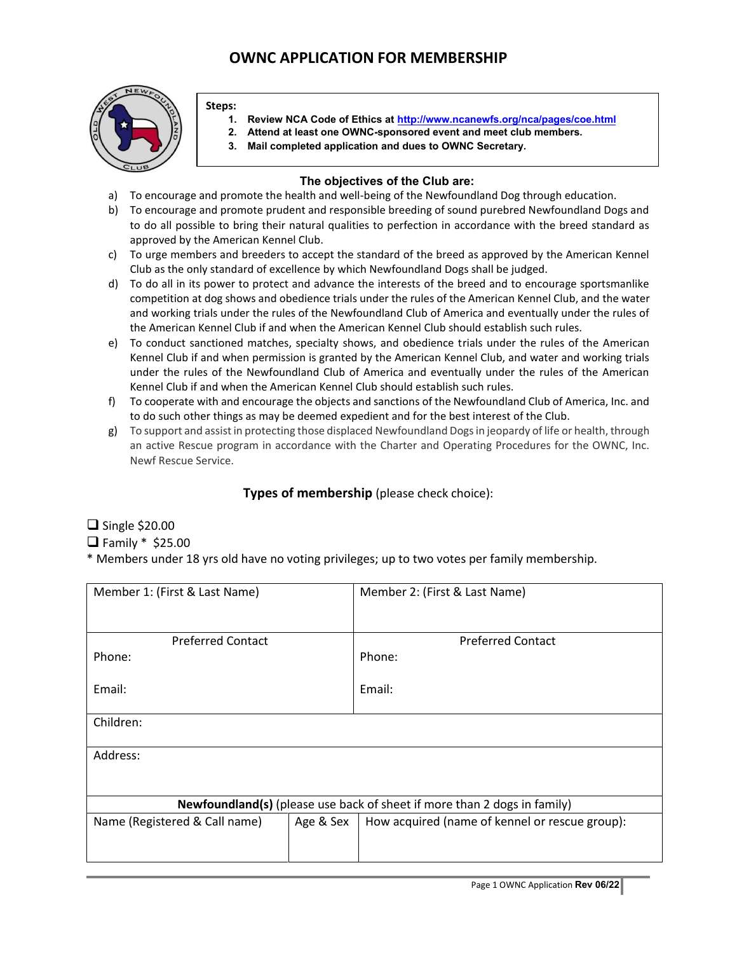## **OWNC APPLICATION FOR MEMBERSHIP**



## **Steps:**

- **1. Review NCA Code of Ethics at<http://www.ncanewfs.org/nca/pages/coe.html>**
- **2. Attend at least one OWNC-sponsored event and meet club members.**
	- **3. Mail completed application and dues to OWNC Secretary.**

## **The objectives of the Club are:**

- a) To encourage and promote the health and well-being of the Newfoundland Dog through education.
- b) To encourage and promote prudent and responsible breeding of sound purebred Newfoundland Dogs and to do all possible to bring their natural qualities to perfection in accordance with the breed standard as approved by the American Kennel Club.
- c) To urge members and breeders to accept the standard of the breed as approved by the American Kennel Club as the only standard of excellence by which Newfoundland Dogs shall be judged.
- d) To do all in its power to protect and advance the interests of the breed and to encourage sportsmanlike competition at dog shows and obedience trials under the rules of the American Kennel Club, and the water and working trials under the rules of the Newfoundland Club of America and eventually under the rules of the American Kennel Club if and when the American Kennel Club should establish such rules.
- e) To conduct sanctioned matches, specialty shows, and obedience trials under the rules of the American Kennel Club if and when permission is granted by the American Kennel Club, and water and working trials under the rules of the Newfoundland Club of America and eventually under the rules of the American Kennel Club if and when the American Kennel Club should establish such rules.
- f) To cooperate with and encourage the objects and sanctions of the Newfoundland Club of America, Inc. and to do such other things as may be deemed expedient and for the best interest of the Club.
- g) To support and assist in protecting those displaced Newfoundland Dogs in jeopardy of life or health, through an active Rescue program in accordance with the Charter and Operating Procedures for the OWNC, Inc. Newf Rescue Service.

## **Types of membership** (please check choice):

 $\Box$  Single \$20.00

 $\Box$  Family  $*$  \$25.00

\* Members under 18 yrs old have no voting privileges; up to two votes per family membership.

| Member 1: (First & Last Name)                                                   |           | Member 2: (First & Last Name)                  |  |
|---------------------------------------------------------------------------------|-----------|------------------------------------------------|--|
|                                                                                 |           |                                                |  |
| <b>Preferred Contact</b>                                                        |           | <b>Preferred Contact</b>                       |  |
| Phone:                                                                          |           | Phone:                                         |  |
| Email:                                                                          |           | Email:                                         |  |
| Children:                                                                       |           |                                                |  |
| Address:                                                                        |           |                                                |  |
|                                                                                 |           |                                                |  |
| <b>Newfoundland(s)</b> (please use back of sheet if more than 2 dogs in family) |           |                                                |  |
| Name (Registered & Call name)                                                   | Age & Sex | How acquired (name of kennel or rescue group): |  |
|                                                                                 |           |                                                |  |